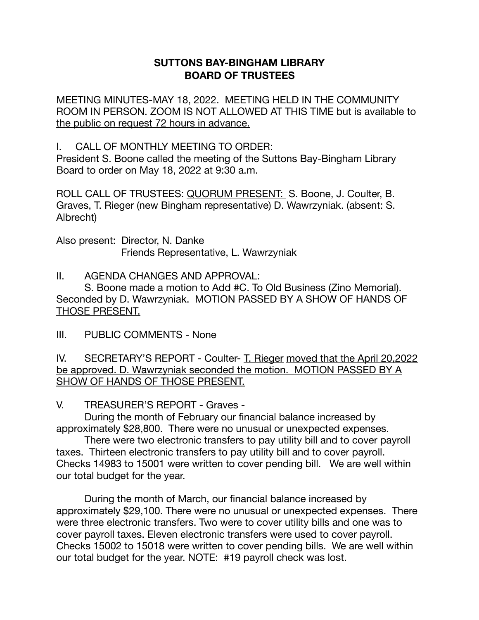## **SUTTONS BAY-BINGHAM LIBRARY BOARD OF TRUSTEES**

MEETING MINUTES-MAY 18, 2022. MEETING HELD IN THE COMMUNITY ROOM IN PERSON. ZOOM IS NOT ALLOWED AT THIS TIME but is available to the public on request 72 hours in advance.

I. CALL OF MONTHLY MEETING TO ORDER:

President S. Boone called the meeting of the Suttons Bay-Bingham Library Board to order on May 18, 2022 at 9:30 a.m.

ROLL CALL OF TRUSTEES: QUORUM PRESENT: S. Boone, J. Coulter, B. Graves, T. Rieger (new Bingham representative) D. Wawrzyniak. (absent: S. Albrecht)

Also present: Director, N. Danke Friends Representative, L. Wawrzyniak

II. AGENDA CHANGES AND APPROVAL: S. Boone made a motion to Add #C. To Old Business (Zino Memorial). Seconded by D. Wawrzyniak. MOTION PASSED BY A SHOW OF HANDS OF THOSE PRESENT.

III. PUBLIC COMMENTS - None

IV. SECRETARY'S REPORT - Coulter- T. Rieger moved that the April 20,2022 be approved. D. Wawrzyniak seconded the motion. MOTION PASSED BY A SHOW OF HANDS OF THOSE PRESENT.

V. TREASURER'S REPORT - Graves -

During the month of February our financial balance increased by approximately \$28,800. There were no unusual or unexpected expenses.

There were two electronic transfers to pay utility bill and to cover payroll taxes. Thirteen electronic transfers to pay utility bill and to cover payroll. Checks 14983 to 15001 were written to cover pending bill. We are well within our total budget for the year.

During the month of March, our financial balance increased by approximately \$29,100. There were no unusual or unexpected expenses. There were three electronic transfers. Two were to cover utility bills and one was to cover payroll taxes. Eleven electronic transfers were used to cover payroll. Checks 15002 to 15018 were written to cover pending bills. We are well within our total budget for the year. NOTE: #19 payroll check was lost.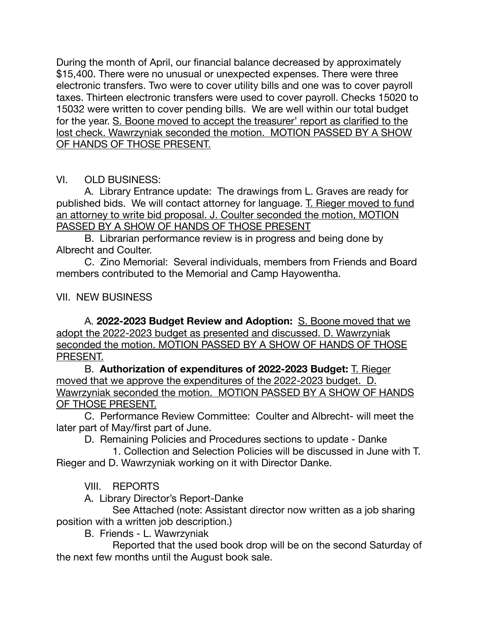During the month of April, our financial balance decreased by approximately \$15,400. There were no unusual or unexpected expenses. There were three electronic transfers. Two were to cover utility bills and one was to cover payroll taxes. Thirteen electronic transfers were used to cover payroll. Checks 15020 to 15032 were written to cover pending bills. We are well within our total budget for the year. S. Boone moved to accept the treasurer' report as clarified to the lost check. Wawrzyniak seconded the motion. MOTION PASSED BY A SHOW OF HANDS OF THOSE PRESENT.

## VI. OLD BUSINESS:

A. Library Entrance update: The drawings from L. Graves are ready for published bids. We will contact attorney for language. T. Rieger moved to fund an attorney to write bid proposal. J. Coulter seconded the motion, MOTION PASSED BY A SHOW OF HANDS OF THOSE PRESENT 

B. Librarian performance review is in progress and being done by Albrecht and Coulter.

C. Zino Memorial: Several individuals, members from Friends and Board members contributed to the Memorial and Camp Hayowentha.

## VII. NEW BUSINESS

A. **2022-2023 Budget Review and Adoption:** S. Boone moved that we adopt the 2022-2023 budget as presented and discussed. D. Wawrzyniak seconded the motion. MOTION PASSED BY A SHOW OF HANDS OF THOSE PRESENT.

B. **Authorization of expenditures of 2022-2023 Budget:** T. Rieger moved that we approve the expenditures of the 2022-2023 budget. D. Wawrzyniak seconded the motion. MOTION PASSED BY A SHOW OF HANDS OF THOSE PRESENT.

C. Performance Review Committee: Coulter and Albrecht- will meet the later part of May/first part of June.

D. Remaining Policies and Procedures sections to update - Danke

 1. Collection and Selection Policies will be discussed in June with T. Rieger and D. Wawrzyniak working on it with Director Danke.

VIII. REPORTS

A. Library Director's Report-Danke

 See Attached (note: Assistant director now written as a job sharing position with a written job description.)

B. Friends - L. Wawrzyniak

 Reported that the used book drop will be on the second Saturday of the next few months until the August book sale.